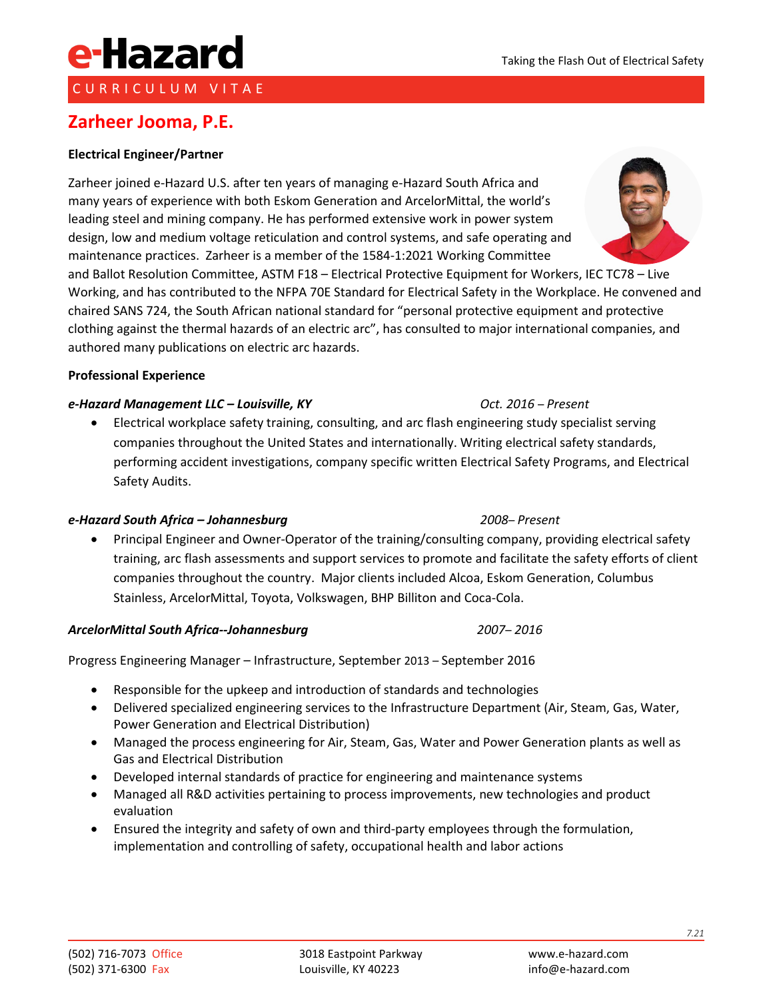CURRICULUM VITAE

e-Hazard

**Zarheer Jooma, P.E.**

Zarheer joined e-Hazard U.S. after ten years of managing e-Hazard South Africa and many years of experience with both Eskom Generation and ArcelorMittal, the world's leading steel and mining company. He has performed extensive work in power system design, low and medium voltage reticulation and control systems, and safe operating and maintenance practices. Zarheer is a member of the 1584-1:2021 Working Committee

and Ballot Resolution Committee, ASTM F18 – Electrical Protective Equipment for Workers, IEC TC78 – Live Working, and has contributed to the NFPA 70E Standard for Electrical Safety in the Workplace. He convened and chaired SANS 724, the South African national standard for "personal protective equipment and protective clothing against the thermal hazards of an electric arc", has consulted to major international companies, and authored many publications on electric arc hazards.

### **Professional Experience**

#### *e-Hazard Management LLC – Louisville, KY Oct. 2016* – *Present*

• Electrical workplace safety training, consulting, and arc flash engineering study specialist serving companies throughout the United States and internationally. Writing electrical safety standards, performing accident investigations, company specific written Electrical Safety Programs, and Electrical Safety Audits.

#### *e-Hazard South Africa – Johannesburg 2008*– *Present*

• Principal Engineer and Owner-Operator of the training/consulting company, providing electrical safety training, arc flash assessments and support services to promote and facilitate the safety efforts of client companies throughout the country. Major clients included Alcoa, Eskom Generation, Columbus Stainless, ArcelorMittal, Toyota, Volkswagen, BHP Billiton and Coca-Cola.

#### *ArcelorMittal South Africa--Johannesburg 2007*– *2016*

Progress Engineering Manager – Infrastructure, September 2013 – September 2016

- Responsible for the upkeep and introduction of standards and technologies
- Delivered specialized engineering services to the Infrastructure Department (Air, Steam, Gas, Water, Power Generation and Electrical Distribution)
- Managed the process engineering for Air, Steam, Gas, Water and Power Generation plants as well as Gas and Electrical Distribution
- Developed internal standards of practice for engineering and maintenance systems
- Managed all R&D activities pertaining to process improvements, new technologies and product evaluation
- Ensured the integrity and safety of own and third-party employees through the formulation, implementation and controlling of safety, occupational health and labor actions



#### www.e-hazard.com info@e-hazard.com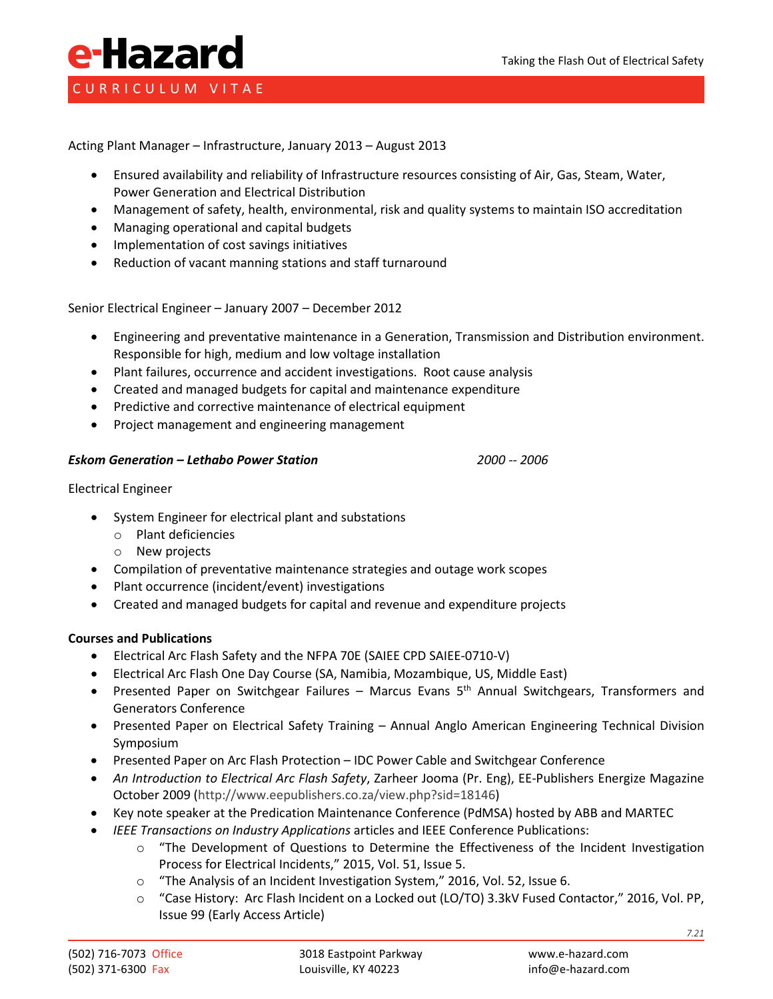## e-Hazard CURRICULUM VITAE

Acting Plant Manager – Infrastructure, January 2013 – August 2013

- Ensured availability and reliability of Infrastructure resources consisting of Air, Gas, Steam, Water, Power Generation and Electrical Distribution
- Management of safety, health, environmental, risk and quality systems to maintain ISO accreditation
- Managing operational and capital budgets
- Implementation of cost savings initiatives
- Reduction of vacant manning stations and staff turnaround

Senior Electrical Engineer – January 2007 – December 2012

- Engineering and preventative maintenance in a Generation, Transmission and Distribution environment. Responsible for high, medium and low voltage installation
- Plant failures, occurrence and accident investigations. Root cause analysis
- Created and managed budgets for capital and maintenance expenditure
- Predictive and corrective maintenance of electrical equipment
- Project management and engineering management

#### *Eskom Generation – Lethabo Power Station 2000 -- 2006*

Electrical Engineer

- System Engineer for electrical plant and substations
	- o Plant deficiencies
	- o New projects
- Compilation of preventative maintenance strategies and outage work scopes
- Plant occurrence (incident/event) investigations
- Created and managed budgets for capital and revenue and expenditure projects

#### **Courses and Publications**

- Electrical Arc Flash Safety and the NFPA 70E (SAIEE CPD SAIEE-0710-V)
- Electrical Arc Flash One Day Course (SA, Namibia, Mozambique, US, Middle East)
- Presented Paper on Switchgear Failures Marcus Evans 5<sup>th</sup> Annual Switchgears, Transformers and Generators Conference
- Presented Paper on Electrical Safety Training Annual Anglo American Engineering Technical Division Symposium
- Presented Paper on Arc Flash Protection IDC Power Cable and Switchgear Conference
- *An Introduction to Electrical Arc Flash Safety*, Zarheer Jooma (Pr. Eng), EE-Publishers Energize Magazine October 2009 [\(http://www.eepublishers.co.za/view.php?sid=18146\)](http://www.eepublishers.co.za/view.php?sid=18146)
- Key note speaker at the Predication Maintenance Conference (PdMSA) hosted by ABB and MARTEC
- *IEEE Transactions on Industry Applications* articles and IEEE Conference Publications:
	- o "The Development of Questions to Determine the Effectiveness of the Incident Investigation Process for Electrical Incidents," 2015, Vol. 51, Issue 5.
	- o "The Analysis of an Incident Investigation System," 2016, Vol. 52, Issue 6.
	- o "Case History: Arc Flash Incident on a Locked out (LO/TO) 3.3kV Fused Contactor," 2016, Vol. PP, Issue 99 (Early Access Article)